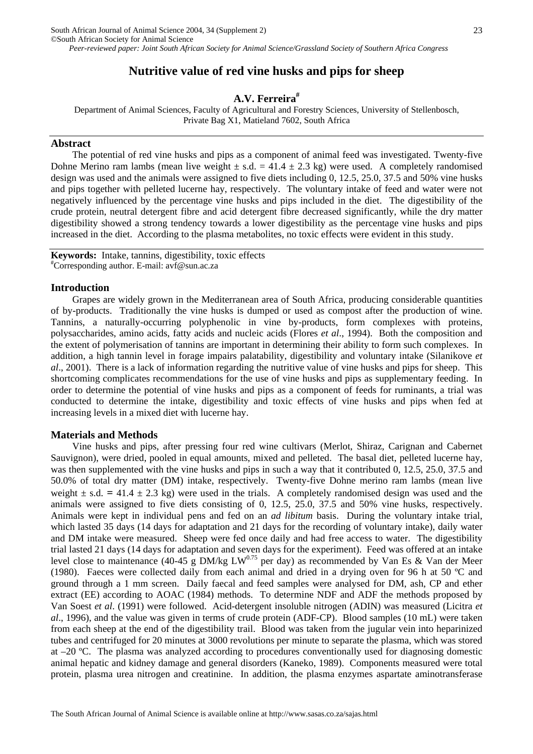# **Nutritive value of red vine husks and pips for sheep**

## **A.V. Ferreira#**

Department of Animal Sciences, Faculty of Agricultural and Forestry Sciences, University of Stellenbosch, Private Bag X1, Matieland 7602, South Africa

## **Abstract**

The potential of red vine husks and pips as a component of animal feed was investigated. Twenty-five Dohne Merino ram lambs (mean live weight  $\pm$  s.d. = 41.4  $\pm$  2.3 kg) were used. A completely randomised design was used and the animals were assigned to five diets including 0, 12.5, 25.0, 37.5 and 50% vine husks and pips together with pelleted lucerne hay, respectively. The voluntary intake of feed and water were not negatively influenced by the percentage vine husks and pips included in the diet. The digestibility of the crude protein, neutral detergent fibre and acid detergent fibre decreased significantly, while the dry matter digestibility showed a strong tendency towards a lower digestibility as the percentage vine husks and pips increased in the diet. According to the plasma metabolites, no toxic effects were evident in this study.

**Keywords:** Intake, tannins, digestibility, toxic effects # Corresponding author. E-mail: avf@sun.ac.za

#### **Introduction**

Grapes are widely grown in the Mediterranean area of South Africa, producing considerable quantities of by-products. Traditionally the vine husks is dumped or used as compost after the production of wine. Tannins, a naturally-occurring polyphenolic in vine by-products, form complexes with proteins, polysaccharides, amino acids, fatty acids and nucleic acids (Flores *et al*., 1994). Both the composition and the extent of polymerisation of tannins are important in determining their ability to form such complexes. In addition, a high tannin level in forage impairs palatability, digestibility and voluntary intake (Silanikove *et al*., 2001).There is a lack of information regarding the nutritive value of vine husks and pips for sheep. This shortcoming complicates recommendations for the use of vine husks and pips as supplementary feeding. In order to determine the potential of vine husks and pips as a component of feeds for ruminants, a trial was conducted to determine the intake, digestibility and toxic effects of vine husks and pips when fed at increasing levels in a mixed diet with lucerne hay.

### **Materials and Methods**

Vine husks and pips, after pressing four red wine cultivars (Merlot, Shiraz, Carignan and Cabernet Sauvignon), were dried, pooled in equal amounts, mixed and pelleted. The basal diet, pelleted lucerne hay, was then supplemented with the vine husks and pips in such a way that it contributed 0, 12.5, 25.0, 37.5 and 50.0% of total dry matter (DM) intake, respectively. Twenty-five Dohne merino ram lambs (mean live weight  $\pm$  s.d. = 41.4  $\pm$  2.3 kg) were used in the trials. A completely randomised design was used and the animals were assigned to five diets consisting of 0, 12.5, 25.0, 37.5 and 50% vine husks, respectively. Animals were kept in individual pens and fed on an *ad libitum* basis. During the voluntary intake trial, which lasted 35 days (14 days for adaptation and 21 days for the recording of voluntary intake), daily water and DM intake were measured. Sheep were fed once daily and had free access to water. The digestibility trial lasted 21 days (14 days for adaptation and seven days for the experiment). Feed was offered at an intake level close to maintenance (40-45 g DM/kg LW<sup>0.75</sup> per day) as recommended by Van Es & Van der Meer (1980). Faeces were collected daily from each animal and dried in a drying oven for 96 h at 50 ºC and ground through a 1 mm screen. Daily faecal and feed samples were analysed for DM, ash, CP and ether extract (EE) according to AOAC (1984) methods. To determine NDF and ADF the methods proposed by Van Soest *et al*. (1991) were followed. Acid-detergent insoluble nitrogen (ADIN) was measured (Licitra *et al*., 1996), and the value was given in terms of crude protein (ADF-CP). Blood samples (10 mL) were taken from each sheep at the end of the digestibility trail. Blood was taken from the jugular vein into heparinized tubes and centrifuged for 20 minutes at 3000 revolutions per minute to separate the plasma, which was stored at –20 ºC. The plasma was analyzed according to procedures conventionally used for diagnosing domestic animal hepatic and kidney damage and general disorders (Kaneko, 1989). Components measured were total protein, plasma urea nitrogen and creatinine. In addition, the plasma enzymes aspartate aminotransferase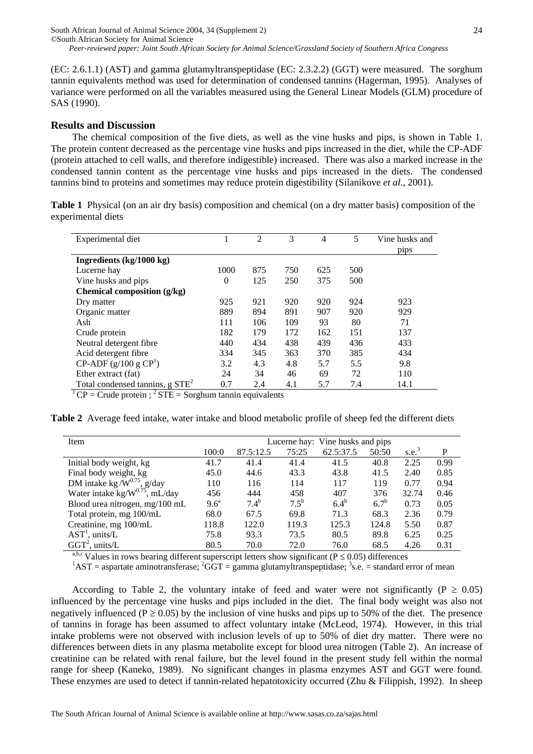(EC: 2.6.1.1) (AST) and gamma glutamyltranspeptidase (EC: 2.3.2.2) (GGT) were measured. The sorghum tannin equivalents method was used for determination of condensed tannins (Hagerman, 1995). Analyses of variance were performed on all the variables measured using the General Linear Models (GLM) procedure of SAS (1990).

### **Results and Discussion**

The chemical composition of the five diets, as well as the vine husks and pips, is shown in Table 1. The protein content decreased as the percentage vine husks and pips increased in the diet, while the CP-ADF (protein attached to cell walls, and therefore indigestible) increased. There was also a marked increase in the condensed tannin content as the percentage vine husks and pips increased in the diets. The condensed tannins bind to proteins and sometimes may reduce protein digestibility (Silanikove *et al*., 2001).

**Table 1** Physical (on an air dry basis) composition and chemical (on a dry matter basis) composition of the experimental diets

| Experimental diet                  |          | 2   | 3   | 4   | 5   | Vine husks and |  |
|------------------------------------|----------|-----|-----|-----|-----|----------------|--|
|                                    |          |     |     |     |     | pips           |  |
| Ingredients (kg/1000 kg)           |          |     |     |     |     |                |  |
| Lucerne hay                        | 1000     | 875 | 750 | 625 | 500 |                |  |
| Vine husks and pips                | $\Omega$ | 125 | 250 | 375 | 500 |                |  |
| Chemical composition (g/kg)        |          |     |     |     |     |                |  |
| Dry matter                         | 925      | 921 | 920 | 920 | 924 | 923            |  |
| Organic matter                     | 889      | 894 | 891 | 907 | 920 | 929            |  |
| Ash                                | 111      | 106 | 109 | 93  | 80  | 71             |  |
| Crude protein                      | 182      | 179 | 172 | 162 | 151 | 137            |  |
| Neutral detergent fibre            | 440      | 434 | 438 | 439 | 436 | 433            |  |
| Acid detergent fibre               | 334      | 345 | 363 | 370 | 385 | 434            |  |
| $CP$ -ADF (g/100 g $CP1$ )         | 3.2      | 4.3 | 4.8 | 5.7 | 5.5 | 9.8            |  |
| Ether extract (fat)                | 24       | 34  | 46  | 69  | 72  | 110            |  |
| Total condensed tannins, $g STE^2$ | 0.7      | 2.4 | 4.1 | 5.7 | 7.4 | 14.1           |  |

 $1^1$  CP = Crude protein ;  $2^1$  STE = Sorghum tannin equivalents

**Table 2** Average feed intake, water intake and blood metabolic profile of sheep fed the different diets

| Item                                        | Lucerne hay: Vine husks and pips |           |           |           |         |                   |      |
|---------------------------------------------|----------------------------------|-----------|-----------|-----------|---------|-------------------|------|
|                                             | 100:0                            | 87.5:12.5 | 75:25     | 62.5:37.5 | 50:50   | s.e. <sup>3</sup> | P    |
| Initial body weight, kg                     | 41.7                             | 41.4      | 41.4      | 41.5      | 40.8    | 2.25              | 0.99 |
| Final body weight, kg                       | 45.0                             | 44.6      | 43.3      | 43.8      | 41.5    | 2.40              | 0.85 |
| DM intake kg/ $\overline{W}^{0.75}$ , g/day | 110                              | 116       | 114       | 117       | 119     | 0.77              | 0.94 |
| Water intake kg/ $W^{0.75}$ , mL/day        | 456                              | 444       | 458       | 407       | 376     | 32.74             | 0.46 |
| Blood urea nitrogen, mg/100 mL              | 9.6 <sup>a</sup>                 | $7.4^{b}$ | $7.5^{b}$ | $6.4^{b}$ | $6.7^b$ | 0.73              | 0.05 |
| Total protein, mg 100/mL                    | 68.0                             | 67.5      | 69.8      | 71.3      | 68.3    | 2.36              | 0.79 |
| Creatinine, mg 100/mL                       | 118.8                            | 122.0     | 119.3     | 125.3     | 124.8   | 5.50              | 0.87 |
| $AST1$ , units/L                            | 75.8                             | 93.3      | 73.5      | 80.5      | 89.8    | 6.25              | 0.25 |
| $GGT^2$ , units/L                           | 80.5                             | 70.0      | 72.0      | 76.0      | 68.5    | 4.26              | 0.31 |

<sup>a,b,c</sup> Values in rows bearing different superscript letters show significant (P  $\leq$  0.05) differences <sup>1</sup>AST = aspartate aminotransferase; <sup>2</sup>GGT = gamma glutamyltranspeptidase; <sup>3</sup>s.e. = standard error of mean

According to Table 2, the voluntary intake of feed and water were not significantly ( $P \ge 0.05$ ) influenced by the percentage vine husks and pips included in the diet. The final body weight was also not negatively influenced (P  $\geq$  0.05) by the inclusion of vine husks and pips up to 50% of the diet. The presence of tannins in forage has been assumed to affect voluntary intake (McLeod, 1974). However, in this trial intake problems were not observed with inclusion levels of up to 50% of diet dry matter. There were no differences between diets in any plasma metabolite except for blood urea nitrogen (Table 2). An increase of creatinine can be related with renal failure, but the level found in the present study fell within the normal range for sheep (Kaneko, 1989). No significant changes in plasma enzymes AST and GGT were found. These enzymes are used to detect if tannin-related hepatotoxicity occurred (Zhu & Filippish, 1992). In sheep